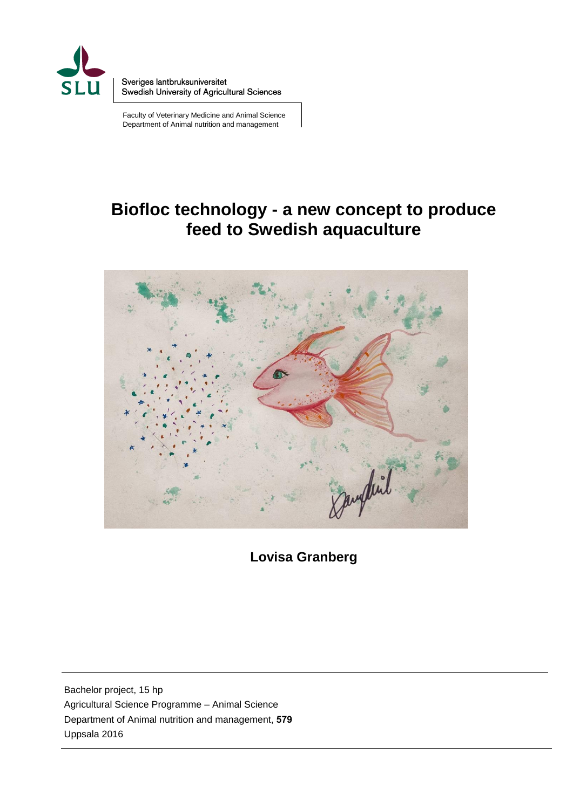

Sveriges lantbruksuniversitet Swedish University of Agricultural Sciences

Faculty of Veterinary Medicine and Animal Science Department of Animal nutrition and management

# **Biofloc technology - a new concept to produce feed to Swedish aquaculture**



**Lovisa Granberg** 

Bachelor project, 15 hp Agricultural Science Programme – Animal Science Department of Animal nutrition and management, **579** Uppsala 2016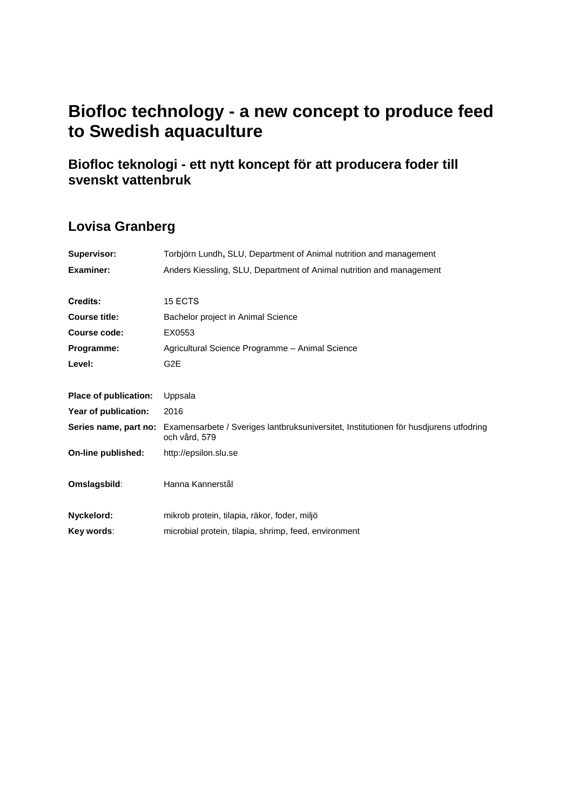# **Biofloc technology - a new concept to produce feed to Swedish aquaculture**

## **Biofloc teknologi - ett nytt koncept för att producera foder till svenskt vattenbruk**

## **Lovisa Granberg**

| Supervisor:           | Torbjörn Lundh, SLU, Department of Animal nutrition and management                                     |
|-----------------------|--------------------------------------------------------------------------------------------------------|
| Examiner:             | Anders Kiessling, SLU, Department of Animal nutrition and management                                   |
| Credits:              | 15 ECTS                                                                                                |
| <b>Course title:</b>  | Bachelor project in Animal Science                                                                     |
| Course code:          | EX0553                                                                                                 |
| Programme:            | Agricultural Science Programme - Animal Science                                                        |
| Level:                | G <sub>2</sub> E                                                                                       |
| Place of publication: | Uppsala                                                                                                |
| Year of publication:  | 2016                                                                                                   |
| Series name, part no: | Examensarbete / Sveriges lantbruksuniversitet, Institutionen för husdjurens utfodring<br>och vård, 579 |
| On-line published:    | http://epsilon.slu.se                                                                                  |
| Omslagsbild:          | Hanna Kannerstål                                                                                       |
| Nyckelord:            | mikrob protein, tilapia, räkor, foder, miljö                                                           |
| Key words:            | microbial protein, tilapia, shrimp, feed, environment                                                  |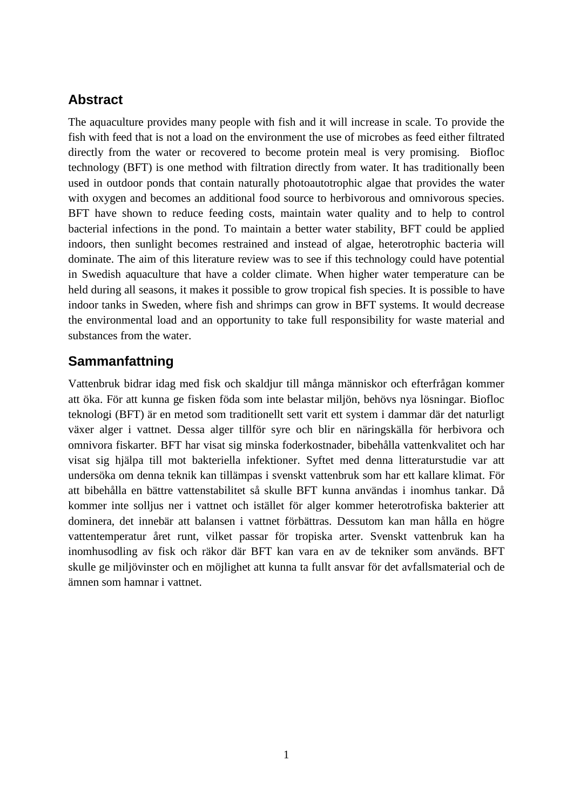## **Abstract**

The aquaculture provides many people with fish and it will increase in scale. To provide the fish with feed that is not a load on the environment the use of microbes as feed either filtrated directly from the water or recovered to become protein meal is very promising. Biofloc technology (BFT) is one method with filtration directly from water. It has traditionally been used in outdoor ponds that contain naturally photoautotrophic algae that provides the water with oxygen and becomes an additional food source to herbivorous and omnivorous species. BFT have shown to reduce feeding costs, maintain water quality and to help to control bacterial infections in the pond. To maintain a better water stability, BFT could be applied indoors, then sunlight becomes restrained and instead of algae, heterotrophic bacteria will dominate. The aim of this literature review was to see if this technology could have potential in Swedish aquaculture that have a colder climate. When higher water temperature can be held during all seasons, it makes it possible to grow tropical fish species. It is possible to have indoor tanks in Sweden, where fish and shrimps can grow in BFT systems. It would decrease the environmental load and an opportunity to take full responsibility for waste material and substances from the water.

## **Sammanfattning**

Vattenbruk bidrar idag med fisk och skaldjur till många människor och efterfrågan kommer att öka. För att kunna ge fisken föda som inte belastar miljön, behövs nya lösningar. Biofloc teknologi (BFT) är en metod som traditionellt sett varit ett system i dammar där det naturligt växer alger i vattnet. Dessa alger tillför syre och blir en näringskälla för herbivora och omnivora fiskarter. BFT har visat sig minska foderkostnader, bibehålla vattenkvalitet och har visat sig hjälpa till mot bakteriella infektioner. Syftet med denna litteraturstudie var att undersöka om denna teknik kan tillämpas i svenskt vattenbruk som har ett kallare klimat. För att bibehålla en bättre vattenstabilitet så skulle BFT kunna användas i inomhus tankar. Då kommer inte solljus ner i vattnet och istället för alger kommer heterotrofiska bakterier att dominera, det innebär att balansen i vattnet förbättras. Dessutom kan man hålla en högre vattentemperatur året runt, vilket passar för tropiska arter. Svenskt vattenbruk kan ha inomhusodling av fisk och räkor där BFT kan vara en av de tekniker som används. BFT skulle ge miljövinster och en möjlighet att kunna ta fullt ansvar för det avfallsmaterial och de ämnen som hamnar i vattnet.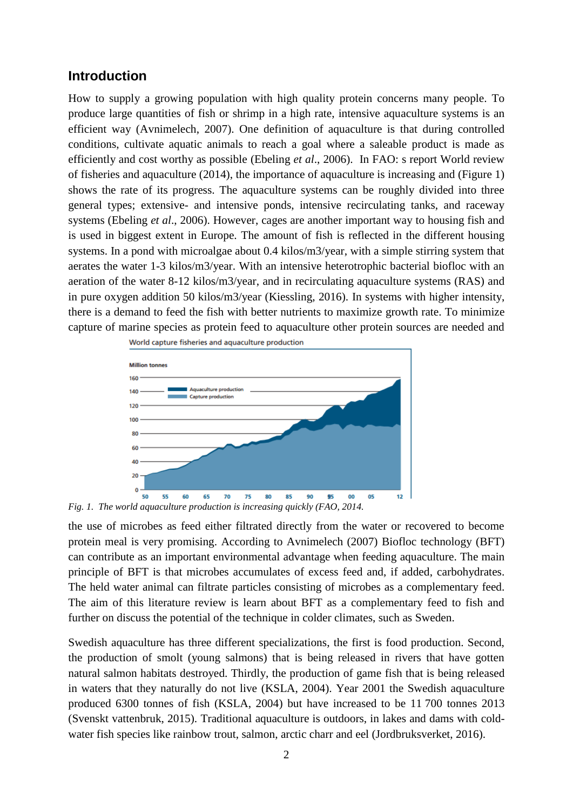#### **Introduction**

How to supply a growing population with high quality protein concerns many people. To produce large quantities of fish or shrimp in a high rate, intensive aquaculture systems is an efficient way (Avnimelech, 2007). One definition of aquaculture is that during controlled conditions, cultivate aquatic animals to reach a goal where a saleable product is made as efficiently and cost worthy as possible (Ebeling *et al*., 2006). In FAO: s report World review of fisheries and aquaculture (2014), the importance of aquaculture is increasing and (Figure 1) shows the rate of its progress. The aquaculture systems can be roughly divided into three general types; extensive- and intensive ponds, intensive recirculating tanks, and raceway systems (Ebeling *et al*., 2006). However, cages are another important way to housing fish and is used in biggest extent in Europe. The amount of fish is reflected in the different housing systems. In a pond with microalgae about 0.4 kilos/m3/year, with a simple stirring system that aerates the water 1-3 kilos/m3/year. With an intensive heterotrophic bacterial biofloc with an aeration of the water 8-12 kilos/m3/year, and in recirculating aquaculture systems (RAS) and in pure oxygen addition 50 kilos/m3/year (Kiessling, 2016). In systems with higher intensity, there is a demand to feed the fish with better nutrients to maximize growth rate. To minimize capture of marine species as protein feed to aquaculture other protein sources are needed and



*Fig. 1. The world aquaculture production is increasing quickly (FAO, 2014.* 

the use of microbes as feed either filtrated directly from the water or recovered to become protein meal is very promising. According to Avnimelech (2007) Biofloc technology (BFT) can contribute as an important environmental advantage when feeding aquaculture. The main principle of BFT is that microbes accumulates of excess feed and, if added, carbohydrates. The held water animal can filtrate particles consisting of microbes as a complementary feed. The aim of this literature review is learn about BFT as a complementary feed to fish and further on discuss the potential of the technique in colder climates, such as Sweden.

Swedish aquaculture has three different specializations, the first is food production. Second, the production of smolt (young salmons) that is being released in rivers that have gotten natural salmon habitats destroyed. Thirdly, the production of game fish that is being released in waters that they naturally do not live (KSLA, 2004). Year 2001 the Swedish aquaculture produced 6300 tonnes of fish (KSLA, 2004) but have increased to be 11 700 tonnes 2013 (Svenskt vattenbruk, 2015). Traditional aquaculture is outdoors, in lakes and dams with coldwater fish species like rainbow trout, salmon, arctic charr and eel (Jordbruksverket, 2016).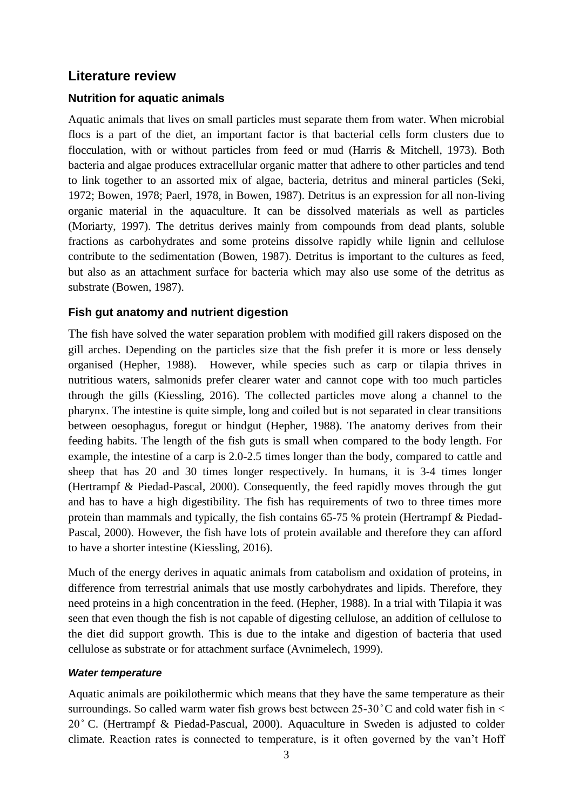#### **Literature review**

#### **Nutrition for aquatic animals**

Aquatic animals that lives on small particles must separate them from water. When microbial flocs is a part of the diet, an important factor is that bacterial cells form clusters due to flocculation, with or without particles from feed or mud (Harris & Mitchell, 1973). Both bacteria and algae produces extracellular organic matter that adhere to other particles and tend to link together to an assorted mix of algae, bacteria, detritus and mineral particles (Seki, 1972; Bowen, 1978; Paerl, 1978, in Bowen, 1987). Detritus is an expression for all non-living organic material in the aquaculture. It can be dissolved materials as well as particles (Moriarty, 1997). The detritus derives mainly from compounds from dead plants, soluble fractions as carbohydrates and some proteins dissolve rapidly while lignin and cellulose contribute to the sedimentation (Bowen, 1987). Detritus is important to the cultures as feed, but also as an attachment surface for bacteria which may also use some of the detritus as substrate (Bowen, 1987).

#### **Fish gut anatomy and nutrient digestion**

The fish have solved the water separation problem with modified gill rakers disposed on the gill arches. Depending on the particles size that the fish prefer it is more or less densely organised (Hepher, 1988). However, while species such as carp or tilapia thrives in nutritious waters, salmonids prefer clearer water and cannot cope with too much particles through the gills (Kiessling, 2016). The collected particles move along a channel to the pharynx. The intestine is quite simple, long and coiled but is not separated in clear transitions between oesophagus, foregut or hindgut (Hepher, 1988). The anatomy derives from their feeding habits. The length of the fish guts is small when compared to the body length. For example, the intestine of a carp is 2.0-2.5 times longer than the body, compared to cattle and sheep that has 20 and 30 times longer respectively. In humans, it is 3-4 times longer (Hertrampf & Piedad-Pascal, 2000). Consequently, the feed rapidly moves through the gut and has to have a high digestibility. The fish has requirements of two to three times more protein than mammals and typically, the fish contains 65-75 % protein (Hertrampf & Piedad-Pascal, 2000). However, the fish have lots of protein available and therefore they can afford to have a shorter intestine (Kiessling, 2016).

Much of the energy derives in aquatic animals from catabolism and oxidation of proteins, in difference from terrestrial animals that use mostly carbohydrates and lipids. Therefore, they need proteins in a high concentration in the feed. (Hepher, 1988). In a trial with Tilapia it was seen that even though the fish is not capable of digesting cellulose, an addition of cellulose to the diet did support growth. This is due to the intake and digestion of bacteria that used cellulose as substrate or for attachment surface (Avnimelech, 1999).

#### *Water temperature*

Aquatic animals are poikilothermic which means that they have the same temperature as their surroundings. So called warm water fish grows best between  $25{\text -}30^{\circ}$ C and cold water fish in  $\lt$ 20 ̊ C. (Hertrampf & Piedad-Pascual, 2000). Aquaculture in Sweden is adjusted to colder climate. Reaction rates is connected to temperature, is it often governed by the van't Hoff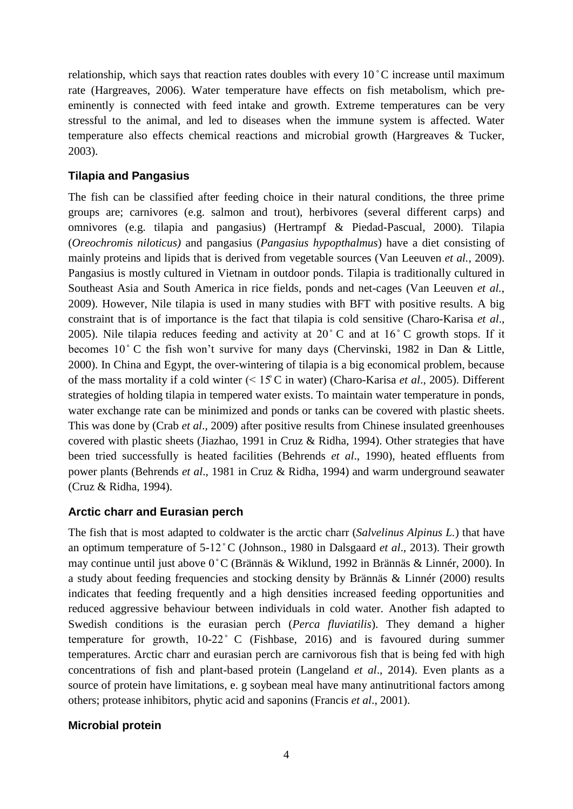relationship, which says that reaction rates doubles with every  $10\degree C$  increase until maximum rate (Hargreaves, 2006). Water temperature have effects on fish metabolism, which preeminently is connected with feed intake and growth. Extreme temperatures can be very stressful to the animal, and led to diseases when the immune system is affected. Water temperature also effects chemical reactions and microbial growth (Hargreaves & Tucker, 2003).

#### **Tilapia and Pangasius**

The fish can be classified after feeding choice in their natural conditions, the three prime groups are; carnivores (e.g. salmon and trout), herbivores (several different carps) and omnivores (e.g. tilapia and pangasius) (Hertrampf & Piedad-Pascual, 2000). Tilapia (*Oreochromis niloticus)* and pangasius (*Pangasius hypopthalmus*) have a diet consisting of mainly proteins and lipids that is derived from vegetable sources (Van Leeuven *et al.*, 2009). Pangasius is mostly cultured in Vietnam in outdoor ponds. Tilapia is traditionally cultured in Southeast Asia and South America in rice fields, ponds and net-cages (Van Leeuven *et al.*, 2009). However, Nile tilapia is used in many studies with BFT with positive results. A big constraint that is of importance is the fact that tilapia is cold sensitive (Charo-Karisa *et al*., 2005). Nile tilapia reduces feeding and activity at  $20^{\circ}$  C and at  $16^{\circ}$  C growth stops. If it becomes 10°C the fish won't survive for many days (Chervinski, 1982 in Dan & Little, 2000). In China and Egypt, the over-wintering of tilapia is a big economical problem, because of the mass mortality if a cold winter (< 15̊ C in water) (Charo-Karisa *et al*., 2005). Different strategies of holding tilapia in tempered water exists. To maintain water temperature in ponds, water exchange rate can be minimized and ponds or tanks can be covered with plastic sheets. This was done by (Crab *et al*., 2009) after positive results from Chinese insulated greenhouses covered with plastic sheets (Jiazhao, 1991 in Cruz & Ridha, 1994). Other strategies that have been tried successfully is heated facilities (Behrends *et al*., 1990), heated effluents from power plants (Behrends *et al*., 1981 in Cruz & Ridha, 1994) and warm underground seawater (Cruz & Ridha, 1994).

#### **Arctic charr and Eurasian perch**

The fish that is most adapted to coldwater is the arctic charr (*Salvelinus Alpinus L.*) that have an optimum temperature of 5-12 ̊C (Johnson., 1980 in Dalsgaard *et al*., 2013). Their growth may continue until just above 0°C (Brännäs & Wiklund, 1992 in Brännäs & Linnér, 2000). In a study about feeding frequencies and stocking density by Brännäs & Linnér (2000) results indicates that feeding frequently and a high densities increased feeding opportunities and reduced aggressive behaviour between individuals in cold water. Another fish adapted to Swedish conditions is the eurasian perch (*Perca fluviatilis*). They demand a higher temperature for growth,  $10-22$  ° C (Fishbase, 2016) and is favoured during summer temperatures. Arctic charr and eurasian perch are carnivorous fish that is being fed with high concentrations of fish and plant-based protein (Langeland *et al*., 2014). Even plants as a source of protein have limitations, e. g soybean meal have many antinutritional factors among others; protease inhibitors, phytic acid and saponins (Francis *et al*., 2001).

#### **Microbial protein**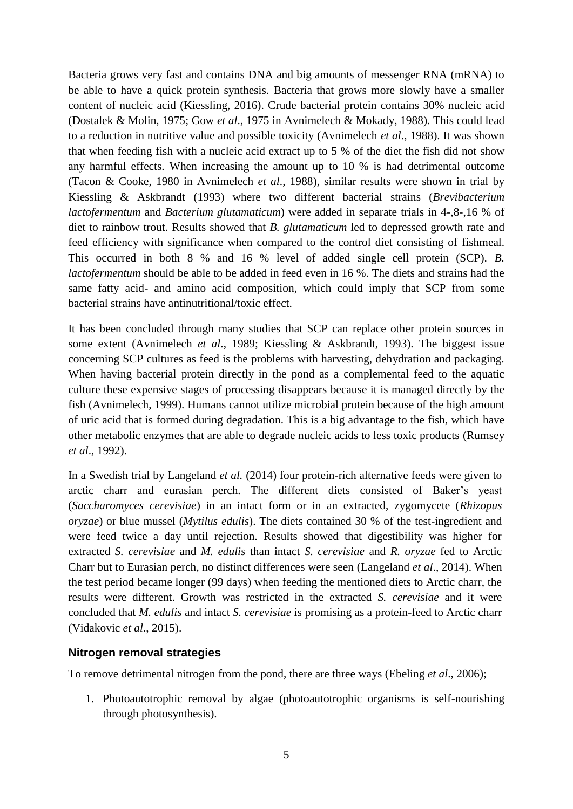Bacteria grows very fast and contains DNA and big amounts of messenger RNA (mRNA) to be able to have a quick protein synthesis. Bacteria that grows more slowly have a smaller content of nucleic acid (Kiessling, 2016). Crude bacterial protein contains 30% nucleic acid (Dostalek & Molin, 1975; Gow *et al*., 1975 in Avnimelech & Mokady, 1988). This could lead to a reduction in nutritive value and possible toxicity (Avnimelech *et al*., 1988). It was shown that when feeding fish with a nucleic acid extract up to 5 % of the diet the fish did not show any harmful effects. When increasing the amount up to 10 % is had detrimental outcome (Tacon & Cooke, 1980 in Avnimelech *et al*., 1988), similar results were shown in trial by Kiessling & Askbrandt (1993) where two different bacterial strains (*Brevibacterium lactofermentum* and *Bacterium glutamaticum*) were added in separate trials in 4-,8-,16 % of diet to rainbow trout. Results showed that *B. glutamaticum* led to depressed growth rate and feed efficiency with significance when compared to the control diet consisting of fishmeal. This occurred in both 8 % and 16 % level of added single cell protein (SCP). *B. lactofermentum* should be able to be added in feed even in 16 %. The diets and strains had the same fatty acid- and amino acid composition, which could imply that SCP from some bacterial strains have antinutritional/toxic effect.

It has been concluded through many studies that SCP can replace other protein sources in some extent (Avnimelech *et al*., 1989; Kiessling & Askbrandt, 1993). The biggest issue concerning SCP cultures as feed is the problems with harvesting, dehydration and packaging. When having bacterial protein directly in the pond as a complemental feed to the aquatic culture these expensive stages of processing disappears because it is managed directly by the fish (Avnimelech, 1999). Humans cannot utilize microbial protein because of the high amount of uric acid that is formed during degradation. This is a big advantage to the fish, which have other metabolic enzymes that are able to degrade nucleic acids to less toxic products (Rumsey *et al*., 1992).

In a Swedish trial by Langeland *et al.* (2014) four protein-rich alternative feeds were given to arctic charr and eurasian perch. The different diets consisted of Baker's yeast (*Saccharomyces cerevisiae*) in an intact form or in an extracted, zygomycete (*Rhizopus oryzae*) or blue mussel (*Mytilus edulis*). The diets contained 30 % of the test-ingredient and were feed twice a day until rejection. Results showed that digestibility was higher for extracted *S. cerevisiae* and *M. edulis* than intact *S. cerevisiae* and *R. oryzae* fed to Arctic Charr but to Eurasian perch, no distinct differences were seen (Langeland *et al*., 2014). When the test period became longer (99 days) when feeding the mentioned diets to Arctic charr, the results were different. Growth was restricted in the extracted *S. cerevisiae* and it were concluded that *M. edulis* and intact *S. cerevisiae* is promising as a protein-feed to Arctic charr (Vidakovic *et al*., 2015).

#### **Nitrogen removal strategies**

To remove detrimental nitrogen from the pond, there are three ways (Ebeling *et al*., 2006);

1. Photoautotrophic removal by algae (photoautotrophic organisms is self-nourishing through photosynthesis).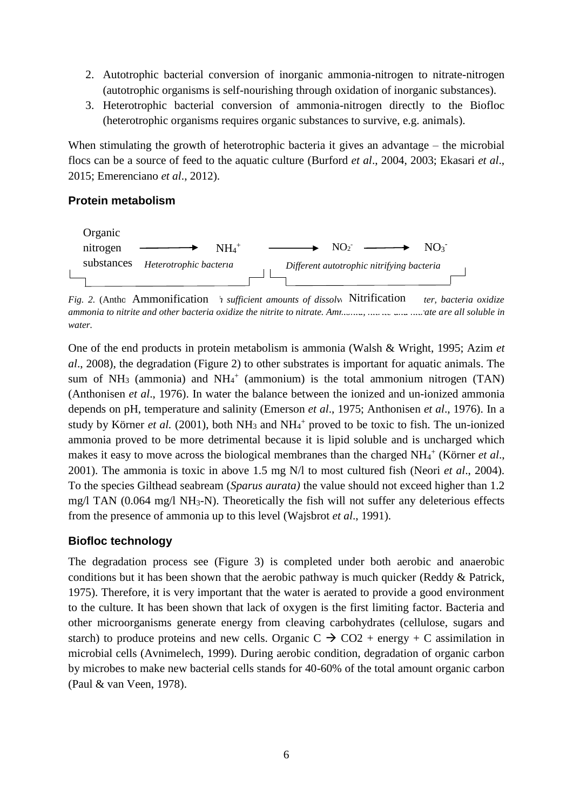- 2. Autotrophic bacterial conversion of inorganic ammonia-nitrogen to nitrate-nitrogen (autotrophic organisms is self-nourishing through oxidation of inorganic substances).
- 3. Heterotrophic bacterial conversion of ammonia-nitrogen directly to the Biofloc (heterotrophic organisms requires organic substances to survive, e.g. animals).

When stimulating the growth of heterotrophic bacteria it gives an advantage – the microbial flocs can be a source of feed to the aquatic culture (Burford *et al*., 2004, 2003; Ekasari *et al*., 2015; Emerenciano *et al*., 2012).

#### **Protein metabolism**



Fig. 2. (Antho Ammonification *h* sufficient amounts of dissolv Nitrification ter, bacteria oxidize *ammonia to nitrite and other bacteria oxidize the nitrite to nitrate. Ammonia, nitritudinally are all soluble in water.* 

One of the end products in protein metabolism is ammonia (Walsh & Wright, 1995; Azim *et al*., 2008), the degradation (Figure 2) to other substrates is important for aquatic animals. The sum of  $NH_3$  (ammonia) and  $NH_4^+$  (ammonium) is the total ammonium nitrogen (TAN) (Anthonisen *et al*., 1976). In water the balance between the ionized and un-ionized ammonia depends on pH, temperature and salinity (Emerson *et al*., 1975; Anthonisen *et al*., 1976). In a study by Körner *et al.* (2001), both  $NH_3$  and  $NH_4^+$  proved to be toxic to fish. The un-ionized ammonia proved to be more detrimental because it is lipid soluble and is uncharged which makes it easy to move across the biological membranes than the charged NH<sub>4</sub><sup>+</sup> (Körner *et al.*, 2001). The ammonia is toxic in above 1.5 mg N/l to most cultured fish (Neori *et al*., 2004). To the species Gilthead seabream (*Sparus aurata)* the value should not exceed higher than 1.2 mg/l TAN (0.064 mg/l NH3-N). Theoretically the fish will not suffer any deleterious effects from the presence of ammonia up to this level (Wajsbrot *et al*., 1991).

#### **Biofloc technology**

The degradation process see (Figure 3) is completed under both aerobic and anaerobic conditions but it has been shown that the aerobic pathway is much quicker (Reddy & Patrick, 1975). Therefore, it is very important that the water is aerated to provide a good environment to the culture. It has been shown that lack of oxygen is the first limiting factor. Bacteria and other microorganisms generate energy from cleaving carbohydrates (cellulose, sugars and starch) to produce proteins and new cells. Organic  $C \rightarrow CO2 +$  energy + C assimilation in microbial cells (Avnimelech, 1999). During aerobic condition, degradation of organic carbon by microbes to make new bacterial cells stands for 40-60% of the total amount organic carbon (Paul & van Veen, 1978).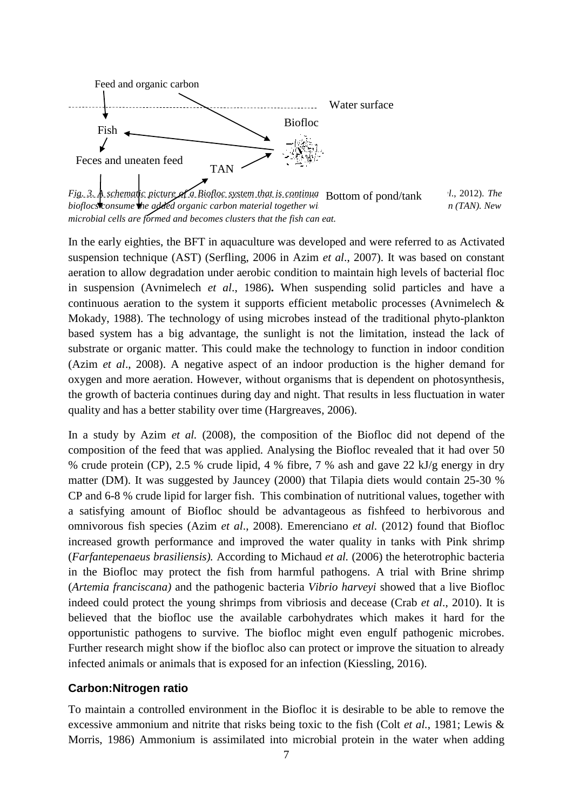

*Fig. 3. A schematic picture of a Biofloc system that is continual* Bottom of pond/tank and *l.*, 2012). The *bioflocs* consume the added organic carbon material together with the about the available in (TAN). New head of the available in the available in the available in the available in the available in the available in the met *microbial cells are formed and becomes clusters that the fish can eat.* 

In the early eighties, the BFT in aquaculture was developed and were referred to as Activated suspension technique (AST) (Serfling, 2006 in Azim *et al*., 2007). It was based on constant aeration to allow degradation under aerobic condition to maintain high levels of bacterial floc in suspension (Avnimelech *et al*., 1986)**.** When suspending solid particles and have a continuous aeration to the system it supports efficient metabolic processes (Avnimelech & Mokady, 1988). The technology of using microbes instead of the traditional phyto-plankton based system has a big advantage, the sunlight is not the limitation, instead the lack of substrate or organic matter. This could make the technology to function in indoor condition (Azim *et al*., 2008). A negative aspect of an indoor production is the higher demand for oxygen and more aeration. However, without organisms that is dependent on photosynthesis, the growth of bacteria continues during day and night. That results in less fluctuation in water quality and has a better stability over time (Hargreaves, 2006).

In a study by Azim *et al.* (2008), the composition of the Biofloc did not depend of the composition of the feed that was applied. Analysing the Biofloc revealed that it had over 50 % crude protein (CP), 2.5 % crude lipid, 4 % fibre, 7 % ash and gave 22 kJ/g energy in dry matter (DM). It was suggested by Jauncey (2000) that Tilapia diets would contain 25-30 % CP and 6-8 % crude lipid for larger fish. This combination of nutritional values, together with a satisfying amount of Biofloc should be advantageous as fishfeed to herbivorous and omnivorous fish species (Azim *et al*., 2008). Emerenciano *et al.* (2012) found that Biofloc increased growth performance and improved the water quality in tanks with Pink shrimp (*Farfantepenaeus brasiliensis).* According to Michaud *et al.* (2006) the heterotrophic bacteria in the Biofloc may protect the fish from harmful pathogens. A trial with Brine shrimp (*Artemia franciscana)* and the pathogenic bacteria *Vibrio harveyi* showed that a live Biofloc indeed could protect the young shrimps from vibriosis and decease (Crab *et al*., 2010). It is believed that the biofloc use the available carbohydrates which makes it hard for the opportunistic pathogens to survive. The biofloc might even engulf pathogenic microbes. Further research might show if the biofloc also can protect or improve the situation to already infected animals or animals that is exposed for an infection (Kiessling, 2016).

#### **Carbon:Nitrogen ratio**

To maintain a controlled environment in the Biofloc it is desirable to be able to remove the excessive ammonium and nitrite that risks being toxic to the fish (Colt *et al.*, 1981; Lewis & Morris, 1986) Ammonium is assimilated into microbial protein in the water when adding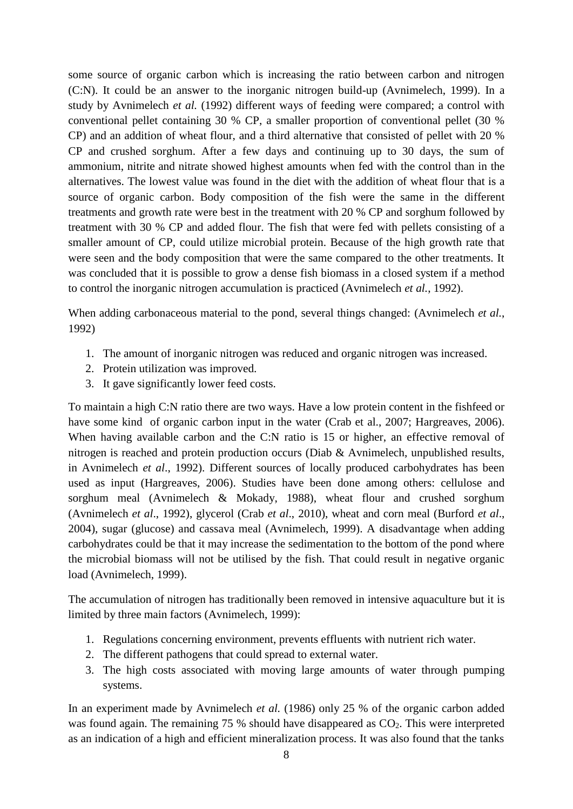some source of organic carbon which is increasing the ratio between carbon and nitrogen (C:N). It could be an answer to the inorganic nitrogen build-up (Avnimelech, 1999). In a study by Avnimelech *et al.* (1992) different ways of feeding were compared; a control with conventional pellet containing 30 % CP, a smaller proportion of conventional pellet (30 % CP) and an addition of wheat flour, and a third alternative that consisted of pellet with 20 % CP and crushed sorghum. After a few days and continuing up to 30 days, the sum of ammonium, nitrite and nitrate showed highest amounts when fed with the control than in the alternatives. The lowest value was found in the diet with the addition of wheat flour that is a source of organic carbon. Body composition of the fish were the same in the different treatments and growth rate were best in the treatment with 20 % CP and sorghum followed by treatment with 30 % CP and added flour. The fish that were fed with pellets consisting of a smaller amount of CP, could utilize microbial protein. Because of the high growth rate that were seen and the body composition that were the same compared to the other treatments. It was concluded that it is possible to grow a dense fish biomass in a closed system if a method to control the inorganic nitrogen accumulation is practiced (Avnimelech *et al.*, 1992).

When adding carbonaceous material to the pond, several things changed: (Avnimelech *et al.*, 1992)

- 1. The amount of inorganic nitrogen was reduced and organic nitrogen was increased.
- 2. Protein utilization was improved.
- 3. It gave significantly lower feed costs.

To maintain a high C:N ratio there are two ways. Have a low protein content in the fishfeed or have some kind of organic carbon input in the water (Crab et al., 2007; Hargreaves, 2006). When having available carbon and the C:N ratio is 15 or higher, an effective removal of nitrogen is reached and protein production occurs (Diab & Avnimelech, unpublished results, in Avnimelech *et al*., 1992). Different sources of locally produced carbohydrates has been used as input (Hargreaves, 2006). Studies have been done among others: cellulose and sorghum meal (Avnimelech & Mokady, 1988), wheat flour and crushed sorghum (Avnimelech *et al*., 1992), glycerol (Crab *et al*., 2010), wheat and corn meal (Burford *et al*., 2004), sugar (glucose) and cassava meal (Avnimelech, 1999). A disadvantage when adding carbohydrates could be that it may increase the sedimentation to the bottom of the pond where the microbial biomass will not be utilised by the fish. That could result in negative organic load (Avnimelech, 1999).

The accumulation of nitrogen has traditionally been removed in intensive aquaculture but it is limited by three main factors (Avnimelech, 1999):

- 1. Regulations concerning environment, prevents effluents with nutrient rich water.
- 2. The different pathogens that could spread to external water.
- 3. The high costs associated with moving large amounts of water through pumping systems.

In an experiment made by Avnimelech *et al.* (1986) only 25 % of the organic carbon added was found again. The remaining 75 % should have disappeared as  $CO<sub>2</sub>$ . This were interpreted as an indication of a high and efficient mineralization process. It was also found that the tanks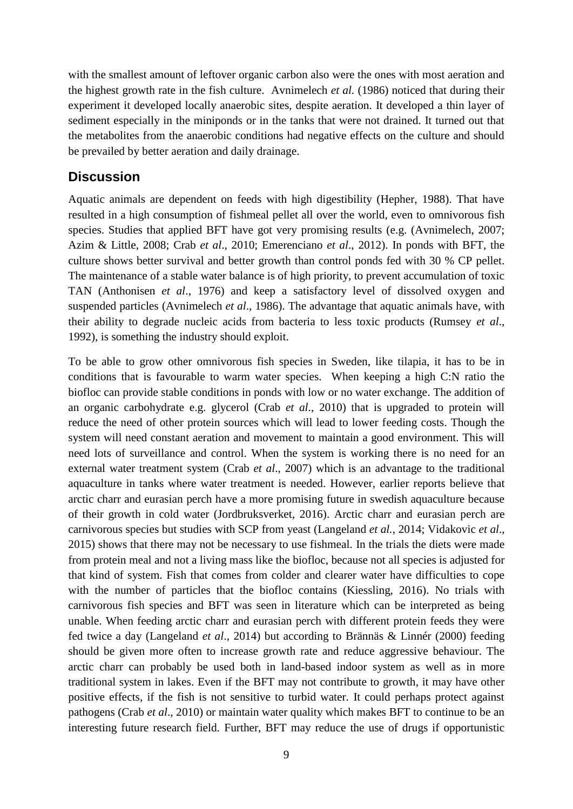with the smallest amount of leftover organic carbon also were the ones with most aeration and the highest growth rate in the fish culture. Avnimelech *et al.* (1986) noticed that during their experiment it developed locally anaerobic sites, despite aeration. It developed a thin layer of sediment especially in the miniponds or in the tanks that were not drained. It turned out that the metabolites from the anaerobic conditions had negative effects on the culture and should be prevailed by better aeration and daily drainage.

#### **Discussion**

Aquatic animals are dependent on feeds with high digestibility (Hepher, 1988). That have resulted in a high consumption of fishmeal pellet all over the world, even to omnivorous fish species. Studies that applied BFT have got very promising results (e.g. (Avnimelech, 2007; Azim & Little, 2008; Crab *et al*., 2010; Emerenciano *et al*., 2012). In ponds with BFT, the culture shows better survival and better growth than control ponds fed with 30 % CP pellet. The maintenance of a stable water balance is of high priority, to prevent accumulation of toxic TAN (Anthonisen *et al*., 1976) and keep a satisfactory level of dissolved oxygen and suspended particles (Avnimelech *et al*., 1986). The advantage that aquatic animals have, with their ability to degrade nucleic acids from bacteria to less toxic products (Rumsey *et al*., 1992), is something the industry should exploit.

To be able to grow other omnivorous fish species in Sweden, like tilapia, it has to be in conditions that is favourable to warm water species. When keeping a high C:N ratio the biofloc can provide stable conditions in ponds with low or no water exchange. The addition of an organic carbohydrate e.g. glycerol (Crab *et al*., 2010) that is upgraded to protein will reduce the need of other protein sources which will lead to lower feeding costs. Though the system will need constant aeration and movement to maintain a good environment. This will need lots of surveillance and control. When the system is working there is no need for an external water treatment system (Crab *et al*., 2007) which is an advantage to the traditional aquaculture in tanks where water treatment is needed. However, earlier reports believe that arctic charr and eurasian perch have a more promising future in swedish aquaculture because of their growth in cold water (Jordbruksverket, 2016). Arctic charr and eurasian perch are carnivorous species but studies with SCP from yeast (Langeland *et al.*, 2014; Vidakovic *et al*., 2015) shows that there may not be necessary to use fishmeal. In the trials the diets were made from protein meal and not a living mass like the biofloc, because not all species is adjusted for that kind of system. Fish that comes from colder and clearer water have difficulties to cope with the number of particles that the biofloc contains (Kiessling, 2016). No trials with carnivorous fish species and BFT was seen in literature which can be interpreted as being unable. When feeding arctic charr and eurasian perch with different protein feeds they were fed twice a day (Langeland *et al*., 2014) but according to Brännäs & Linnér (2000) feeding should be given more often to increase growth rate and reduce aggressive behaviour. The arctic charr can probably be used both in land-based indoor system as well as in more traditional system in lakes. Even if the BFT may not contribute to growth, it may have other positive effects, if the fish is not sensitive to turbid water. It could perhaps protect against pathogens (Crab *et al*., 2010) or maintain water quality which makes BFT to continue to be an interesting future research field. Further, BFT may reduce the use of drugs if opportunistic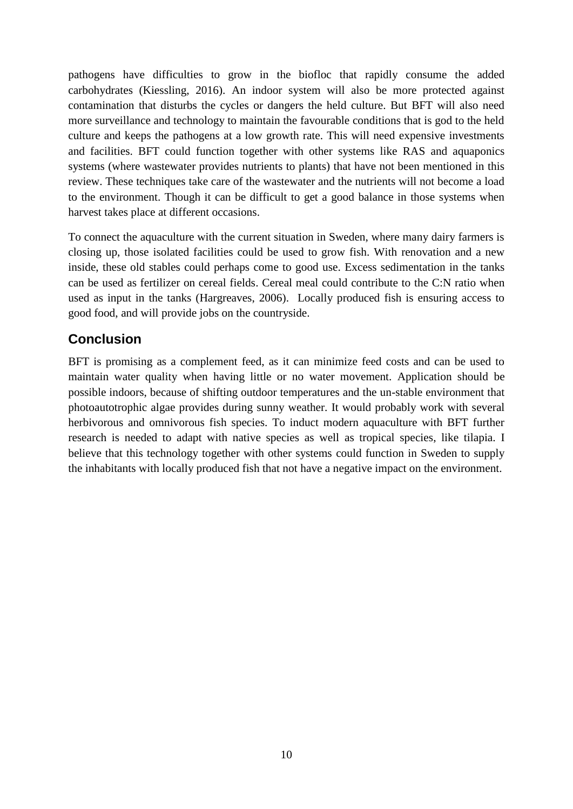pathogens have difficulties to grow in the biofloc that rapidly consume the added carbohydrates (Kiessling, 2016). An indoor system will also be more protected against contamination that disturbs the cycles or dangers the held culture. But BFT will also need more surveillance and technology to maintain the favourable conditions that is god to the held culture and keeps the pathogens at a low growth rate. This will need expensive investments and facilities. BFT could function together with other systems like RAS and aquaponics systems (where wastewater provides nutrients to plants) that have not been mentioned in this review. These techniques take care of the wastewater and the nutrients will not become a load to the environment. Though it can be difficult to get a good balance in those systems when harvest takes place at different occasions.

To connect the aquaculture with the current situation in Sweden, where many dairy farmers is closing up, those isolated facilities could be used to grow fish. With renovation and a new inside, these old stables could perhaps come to good use. Excess sedimentation in the tanks can be used as fertilizer on cereal fields. Cereal meal could contribute to the C:N ratio when used as input in the tanks (Hargreaves, 2006). Locally produced fish is ensuring access to good food, and will provide jobs on the countryside.

## **Conclusion**

BFT is promising as a complement feed, as it can minimize feed costs and can be used to maintain water quality when having little or no water movement. Application should be possible indoors, because of shifting outdoor temperatures and the un-stable environment that photoautotrophic algae provides during sunny weather. It would probably work with several herbivorous and omnivorous fish species. To induct modern aquaculture with BFT further research is needed to adapt with native species as well as tropical species, like tilapia. I believe that this technology together with other systems could function in Sweden to supply the inhabitants with locally produced fish that not have a negative impact on the environment.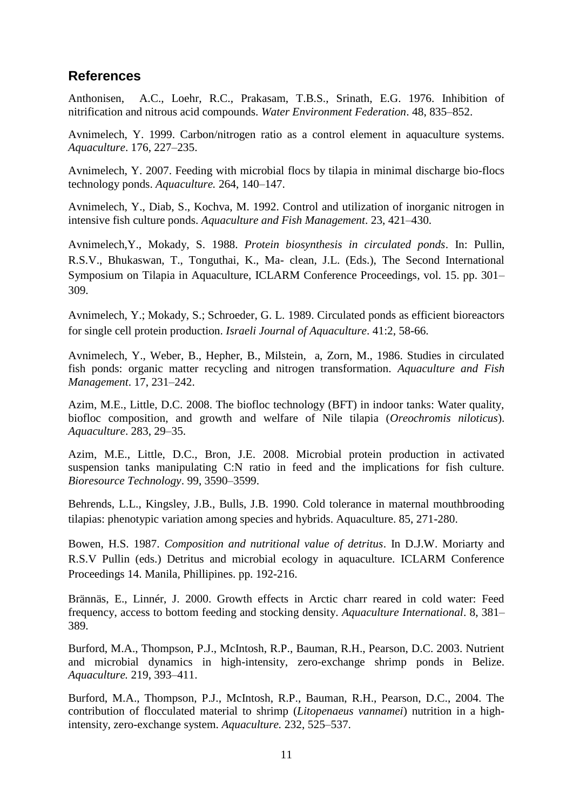### **References**

Anthonisen, A.C., Loehr, R.C., Prakasam, T.B.S., Srinath, E.G. 1976. Inhibition of nitrification and nitrous acid compounds. *Water Environment Federation*. 48, 835–852.

Avnimelech, Y. 1999. Carbon/nitrogen ratio as a control element in aquaculture systems. *Aquaculture*. 176, 227–235.

Avnimelech, Y. 2007. Feeding with microbial flocs by tilapia in minimal discharge bio-flocs technology ponds. *Aquaculture.* 264, 140–147.

Avnimelech, Y., Diab, S., Kochva, M. 1992. Control and utilization of inorganic nitrogen in intensive fish culture ponds. *Aquaculture and Fish Management*. 23, 421–430.

Avnimelech,Y., Mokady, S. 1988. *Protein biosynthesis in circulated ponds*. In: Pullin, R.S.V., Bhukaswan, T., Tonguthai, K., Ma- clean, J.L. (Eds.), The Second International Symposium on Tilapia in Aquaculture, ICLARM Conference Proceedings, vol. 15. pp. 301– 309.

Avnimelech, Y.; Mokady, S.; Schroeder, G. L. 1989. Circulated ponds as efficient bioreactors for single cell protein production. *Israeli Journal of Aquaculture*. 41:2, 58-66.

Avnimelech, Y., Weber, B., Hepher, B., Milstein, a, Zorn, M., 1986. Studies in circulated fish ponds: organic matter recycling and nitrogen transformation. *Aquaculture and Fish Management*. 17, 231–242.

Azim, M.E., Little, D.C. 2008. The biofloc technology (BFT) in indoor tanks: Water quality, biofloc composition, and growth and welfare of Nile tilapia (*Oreochromis niloticus*). *Aquaculture*. 283, 29–35.

Azim, M.E., Little, D.C., Bron, J.E. 2008. Microbial protein production in activated suspension tanks manipulating C:N ratio in feed and the implications for fish culture. *Bioresource Technology*. 99, 3590–3599.

Behrends, L.L., Kingsley, J.B., Bulls, J.B. 1990. Cold tolerance in maternal mouthbrooding tilapias: phenotypic variation among species and hybrids. Aquaculture. 85, 271-280.

Bowen, H.S. 1987. *Composition and nutritional value of detritus*. In D.J.W. Moriarty and R.S.V Pullin (eds.) Detritus and microbial ecology in aquaculture. ICLARM Conference Proceedings 14. Manila, Phillipines. pp. 192-216.

Brännäs, E., Linnér, J. 2000. Growth effects in Arctic charr reared in cold water: Feed frequency, access to bottom feeding and stocking density. *Aquaculture International*. 8, 381– 389.

Burford, M.A., Thompson, P.J., McIntosh, R.P., Bauman, R.H., Pearson, D.C. 2003. Nutrient and microbial dynamics in high-intensity, zero-exchange shrimp ponds in Belize. *Aquaculture.* 219, 393–411.

Burford, M.A., Thompson, P.J., McIntosh, R.P., Bauman, R.H., Pearson, D.C., 2004. The contribution of flocculated material to shrimp (*Litopenaeus vannamei*) nutrition in a highintensity, zero-exchange system. *Aquaculture.* 232, 525–537.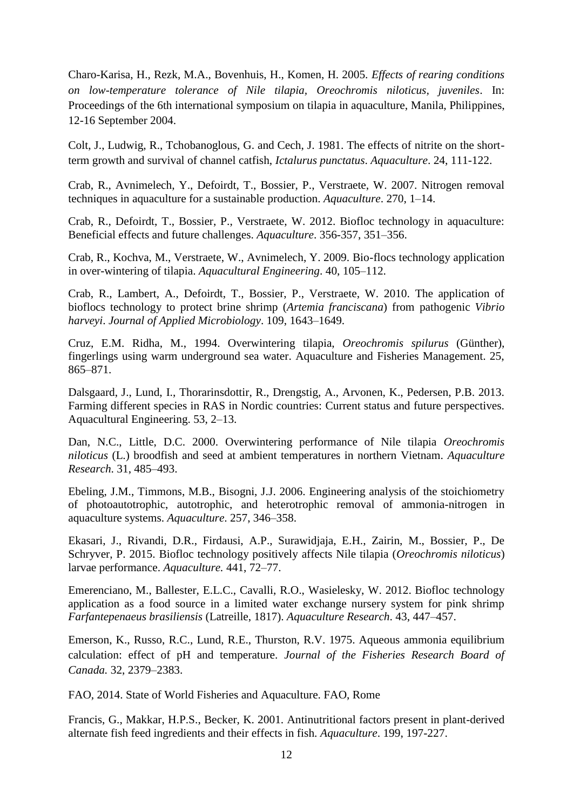Charo-Karisa, H., Rezk, M.A., Bovenhuis, H., Komen, H. 2005. *Effects of rearing conditions on low-temperature tolerance of Nile tilapia, Oreochromis niloticus, juveniles*. In: Proceedings of the 6th international symposium on tilapia in aquaculture, Manila, Philippines, 12-16 September 2004.

Colt, J., Ludwig, R., Tchobanoglous, G. and Cech, J. 1981. The effects of nitrite on the shortterm growth and survival of channel catfish, *Ictalurus punctatus*. *Aquaculture*. 24, 111-122.

Crab, R., Avnimelech, Y., Defoirdt, T., Bossier, P., Verstraete, W. 2007. Nitrogen removal techniques in aquaculture for a sustainable production. *Aquaculture*. 270, 1–14.

Crab, R., Defoirdt, T., Bossier, P., Verstraete, W. 2012. Biofloc technology in aquaculture: Beneficial effects and future challenges. *Aquaculture*. 356-357, 351–356.

Crab, R., Kochva, M., Verstraete, W., Avnimelech, Y. 2009. Bio-flocs technology application in over-wintering of tilapia. *Aquacultural Engineering*. 40, 105–112.

Crab, R., Lambert, A., Defoirdt, T., Bossier, P., Verstraete, W. 2010. The application of bioflocs technology to protect brine shrimp (*Artemia franciscana*) from pathogenic *Vibrio harveyi*. *Journal of Applied Microbiology*. 109, 1643–1649.

Cruz, E.M. Ridha, M., 1994. Overwintering tilapia, *Oreochromis spilurus* (Günther), fingerlings using warm underground sea water. Aquaculture and Fisheries Management. 25, 865–871.

Dalsgaard, J., Lund, I., Thorarinsdottir, R., Drengstig, A., Arvonen, K., Pedersen, P.B. 2013. Farming different species in RAS in Nordic countries: Current status and future perspectives. Aquacultural Engineering. 53, 2–13.

Dan, N.C., Little, D.C. 2000. Overwintering performance of Nile tilapia *Oreochromis niloticus* (L.) broodfish and seed at ambient temperatures in northern Vietnam. *Aquaculture Research*. 31, 485–493.

Ebeling, J.M., Timmons, M.B., Bisogni, J.J. 2006. Engineering analysis of the stoichiometry of photoautotrophic, autotrophic, and heterotrophic removal of ammonia-nitrogen in aquaculture systems. *Aquaculture*. 257, 346–358.

Ekasari, J., Rivandi, D.R., Firdausi, A.P., Surawidjaja, E.H., Zairin, M., Bossier, P., De Schryver, P. 2015. Biofloc technology positively affects Nile tilapia (*Oreochromis niloticus*) larvae performance. *Aquaculture.* 441, 72–77.

Emerenciano, M., Ballester, E.L.C., Cavalli, R.O., Wasielesky, W. 2012. Biofloc technology application as a food source in a limited water exchange nursery system for pink shrimp *Farfantepenaeus brasiliensis* (Latreille, 1817). *Aquaculture Research*. 43, 447–457.

Emerson, K., Russo, R.C., Lund, R.E., Thurston, R.V. 1975. Aqueous ammonia equilibrium calculation: effect of pH and temperature. *Journal of the Fisheries Research Board of Canada.* 32, 2379–2383.

FAO, 2014. State of World Fisheries and Aquaculture. FAO, Rome

Francis, G., Makkar, H.P.S., Becker, K. 2001. Antinutritional factors present in plant-derived alternate fish feed ingredients and their effects in fish. *Aquaculture*. 199, 197-227.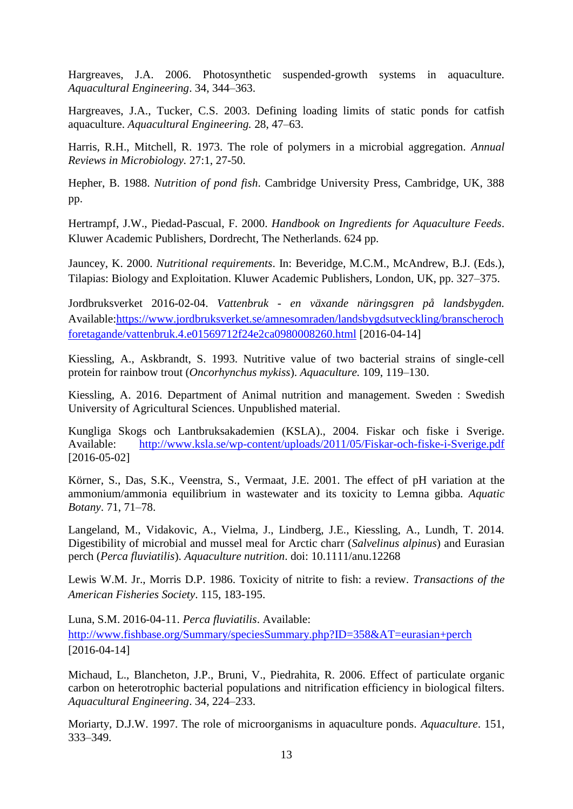Hargreaves, J.A. 2006. Photosynthetic suspended-growth systems in aquaculture. *Aquacultural Engineering*. 34, 344–363.

Hargreaves, J.A., Tucker, C.S. 2003. Defining loading limits of static ponds for catfish aquaculture. *Aquacultural Engineering.* 28, 47–63.

Harris, R.H., Mitchell, R. 1973. The role of polymers in a microbial aggregation. *Annual Reviews in Microbiology.* 27:1, 27-50.

Hepher, B. 1988. *Nutrition of pond fish*. Cambridge University Press, Cambridge, UK, 388 pp.

Hertrampf, J.W., Piedad-Pascual, F. 2000. *Handbook on Ingredients for Aquaculture Feeds*. Kluwer Academic Publishers, Dordrecht, The Netherlands. 624 pp.

Jauncey, K. 2000. *Nutritional requirements*. In: Beveridge, M.C.M., McAndrew, B.J. (Eds.), Tilapias: Biology and Exploitation. Kluwer Academic Publishers, London, UK, pp. 327–375.

Jordbruksverket 2016-02-04. *Vattenbruk - en växande näringsgren på landsbygden.* Available[:https://www.jordbruksverket.se/amnesomraden/landsbygdsutveckling/branscheroch](https://www.jordbruksverket.se/amnesomraden/landsbygdsutveckling/branscherochforetagande/vattenbruk.4.e01569712f24e2ca0980008260.html) [foretagande/vattenbruk.4.e01569712f24e2ca0980008260.html](https://www.jordbruksverket.se/amnesomraden/landsbygdsutveckling/branscherochforetagande/vattenbruk.4.e01569712f24e2ca0980008260.html) [2016-04-14]

Kiessling, A., Askbrandt, S. 1993. Nutritive value of two bacterial strains of single-cell protein for rainbow trout (*Oncorhynchus mykiss*). *Aquaculture.* 109, 119–130.

Kiessling, A. 2016. Department of Animal nutrition and management. Sweden : Swedish University of Agricultural Sciences. Unpublished material.

Kungliga Skogs och Lantbruksakademien (KSLA)., 2004. Fiskar och fiske i Sverige. Available: <http://www.ksla.se/wp-content/uploads/2011/05/Fiskar-och-fiske-i-Sverige.pdf> [2016-05-02]

Körner, S., Das, S.K., Veenstra, S., Vermaat, J.E. 2001. The effect of pH variation at the ammonium/ammonia equilibrium in wastewater and its toxicity to Lemna gibba. *Aquatic Botany*. 71, 71–78.

Langeland, M., Vidakovic, A., Vielma, J., Lindberg, J.E., Kiessling, A., Lundh, T. 2014. Digestibility of microbial and mussel meal for Arctic charr (*Salvelinus alpinus*) and Eurasian perch (*Perca fluviatilis*). *Aquaculture nutrition*. doi: 10.1111/anu.12268

Lewis W.M. Jr., Morris D.P. 1986. Toxicity of nitrite to fish: a review. *Transactions of the American Fisheries Society*. 115, 183-195.

Luna, S.M. 2016-04-11. *Perca fluviatilis*. Available: <http://www.fishbase.org/Summary/speciesSummary.php?ID=358&AT=eurasian+perch> [2016-04-14]

Michaud, L., Blancheton, J.P., Bruni, V., Piedrahita, R. 2006. Effect of particulate organic carbon on heterotrophic bacterial populations and nitrification efficiency in biological filters. *Aquacultural Engineering*. 34, 224–233.

Moriarty, D.J.W. 1997. The role of microorganisms in aquaculture ponds. *Aquaculture*. 151, 333–349.